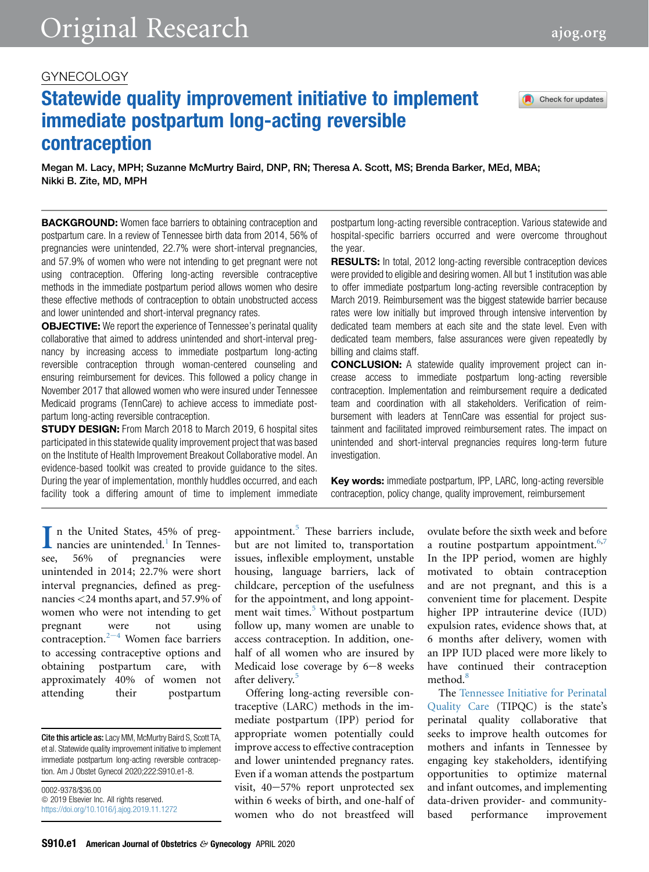# GYNECOLOGY

# Statewide quality improvement initiative to implement immediate postpartum long-acting reversible contraception

Megan M. Lacy, MPH; Suzanne McMurtry Baird, DNP, RN; Theresa A. Scott, MS; Brenda Barker, MEd, MBA; Nikki B. Zite, MD, MPH

**BACKGROUND:** Women face barriers to obtaining contraception and postpartum care. In a review of Tennessee birth data from 2014, 56% of pregnancies were unintended, 22.7% were short-interval pregnancies, and 57.9% of women who were not intending to get pregnant were not using contraception. Offering long-acting reversible contraceptive methods in the immediate postpartum period allows women who desire these effective methods of contraception to obtain unobstructed access and lower unintended and short-interval pregnancy rates.

**OBJECTIVE:** We report the experience of Tennessee's perinatal quality collaborative that aimed to address unintended and short-interval pregnancy by increasing access to immediate postpartum long-acting reversible contraception through woman-centered counseling and ensuring reimbursement for devices. This followed a policy change in November 2017 that allowed women who were insured under Tennessee Medicaid programs (TennCare) to achieve access to immediate postpartum long-acting reversible contraception.

**STUDY DESIGN:** From March 2018 to March 2019, 6 hospital sites participated in this statewide quality improvement project that was based on the Institute of Health Improvement Breakout Collaborative model. An evidence-based toolkit was created to provide guidance to the sites. During the year of implementation, monthly huddles occurred, and each facility took a differing amount of time to implement immediate postpartum long-acting reversible contraception. Various statewide and hospital-specific barriers occurred and were overcome throughout the year.

**RESULTS:** In total, 2012 long-acting reversible contraception devices were provided to eligible and desiring women. All but 1 institution was able to offer immediate postpartum long-acting reversible contraception by March 2019. Reimbursement was the biggest statewide barrier because rates were low initially but improved through intensive intervention by dedicated team members at each site and the state level. Even with dedicated team members, false assurances were given repeatedly by billing and claims staff.

CONCLUSION: A statewide quality improvement project can increase access to immediate postpartum long-acting reversible contraception. Implementation and reimbursement require a dedicated team and coordination with all stakeholders. Verification of reimbursement with leaders at TennCare was essential for project sustainment and facilitated improved reimbursement rates. The impact on unintended and short-interval pregnancies requires long-term future investigation.

Key words: immediate postpartum, IPP, LARC, long-acting reversible contraception, policy change, quality improvement, reimbursement

 $\prod$  n the United States, 45% of preg-<br>nancies are unintended.<sup>1</sup> In Tennes-<br>see, 56% of pregnancies were nancies are unintended.<sup>[1](#page-7-0)</sup> In Tennesof pregnancies unintended in 2014; 22.7% were short interval pregnancies, defined as pregnancies <24 months apart, and 57.9% of women who were not intending to get pregnant were not using contrac[e](#page-7-1)ption. $2^{-4}$  Women face barriers to accessing contraceptive options and obtaining postpartum care, with approximately 40% of women not attending their postpartum

Cite this article as: Lacy MM, McMurtry Baird S, Scott TA, et al. Statewide quality improvement initiative to implement immediate postpartum long-acting reversible contraception. Am J Obstet Gynecol 2020;222:S910.e1-8.

0002-9378/\$36.00  $© 2019$  Elsevier Inc. All rights reserved. <https://doi.org/10.1016/j.ajog.2019.11.1272> appointment.[5](#page-7-2) These barriers include, but are not limited to, transportation issues, inflexible employment, unstable housing, language barriers, lack of childcare, perception of the usefulness for the appointment, and long appoint-ment wait times.<sup>[5](#page-7-2)</sup> Without postpartum follow up, many women are unable to access contraception. In addition, onehalf of all women who are insured by Medicaid lose coverage by  $6-8$  weeks after delivery.<sup>[5](#page-7-2)</sup>

Offering long-acting reversible contraceptive (LARC) methods in the immediate postpartum (IPP) period for appropriate women potentially could improve access to effective contraception and lower unintended pregnancy rates. Even if a woman attends the postpartum visit,  $40-57\%$  report unprotected sex within 6 weeks of birth, and one-half of women who do not breastfeed will

ovulate before the sixth week and before a routine postpartum appointment. $6,7$  $6,7$ In the IPP period, women are highly motivated to obtain contraception and are not pregnant, and this is a convenient time for placement. Despite higher IPP intrauterine device (IUD) expulsion rates, evidence shows that, at 6 months after delivery, women with an IPP IUD placed were more likely to have continued their contraception method.<sup>[8](#page-7-5)</sup>

The [Tennessee Initiative for Perinatal](https://tipqc.org/) [Quality Care](https://tipqc.org/) (TIPQC) is the state's perinatal quality collaborative that seeks to improve health outcomes for mothers and infants in Tennessee by engaging key stakeholders, identifying opportunities to optimize maternal and infant outcomes, and implementing data-driven provider- and communitybased performance improvement

Check for updates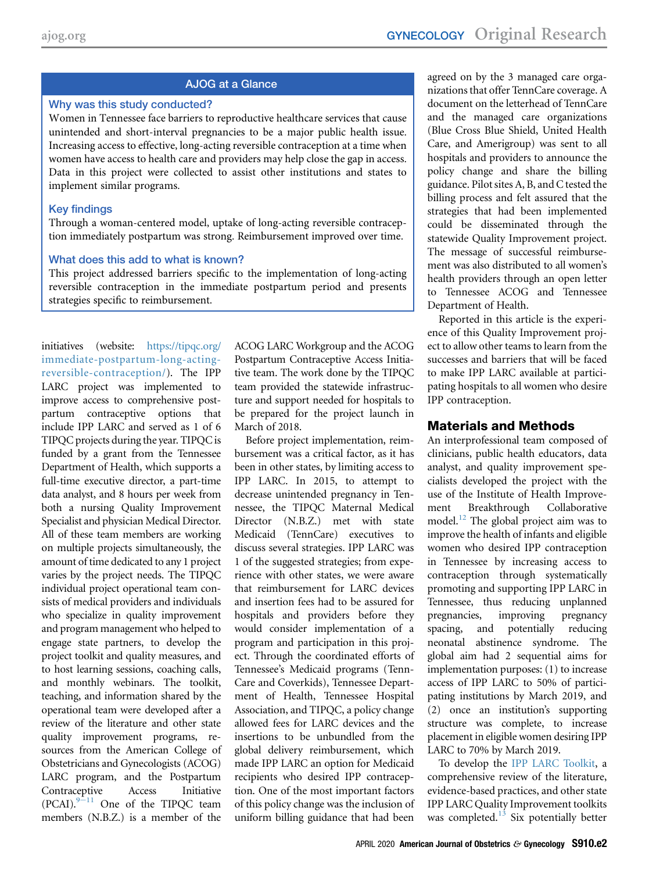# AJOG at a Glance

## Why was this study conducted?

Women in Tennessee face barriers to reproductive healthcare services that cause unintended and short-interval pregnancies to be a major public health issue. Increasing access to effective, long-acting reversible contraception at a time when women have access to health care and providers may help close the gap in access. Data in this project were collected to assist other institutions and states to implement similar programs.

## Key findings

Through a woman-centered model, uptake of long-acting reversible contraception immediately postpartum was strong. Reimbursement improved over time.

## What does this add to what is known?

This project addressed barriers specific to the implementation of long-acting reversible contraception in the immediate postpartum period and presents strategies specific to reimbursement.

initiatives (website: [https://tipqc.org/](https://tipqc.org/immediate-postpartum-long-acting-reversible-contraception/) [immediate-postpartum-long-acting](https://tipqc.org/immediate-postpartum-long-acting-reversible-contraception/)[reversible-contraception/\)](https://tipqc.org/immediate-postpartum-long-acting-reversible-contraception/). The IPP LARC project was implemented to improve access to comprehensive postpartum contraceptive options that include IPP LARC and served as 1 of 6 TIPQC projects during the year. TIPQC is funded by a grant from the Tennessee Department of Health, which supports a full-time executive director, a part-time data analyst, and 8 hours per week from both a nursing Quality Improvement Specialist and physician Medical Director. All of these team members are working on multiple projects simultaneously, the amount of time dedicated to any 1 project varies by the project needs. The TIPQC individual project operational team consists of medical providers and individuals who specialize in quality improvement and program management who helped to engage state partners, to develop the project toolkit and quality measures, and to host learning sessions, coaching calls, and monthly webinars. The toolkit, teaching, and information shared by the operational team were developed after a review of the literature and other state quality improvement programs, resources from the American College of Obstetricians and Gynecologists (ACOG) LARC program, and the Postpartum Contraceptive Access Initiative  $(PCAI).<sup>9-11</sup>$  $(PCAI).<sup>9-11</sup>$  $(PCAI).<sup>9-11</sup>$  One of the TIPQC team members (N.B.Z.) is a member of the

ACOG LARC Workgroup and the ACOG Postpartum Contraceptive Access Initiative team. The work done by the TIPQC team provided the statewide infrastructure and support needed for hospitals to be prepared for the project launch in March of 2018.

Before project implementation, reimbursement was a critical factor, as it has been in other states, by limiting access to IPP LARC. In 2015, to attempt to decrease unintended pregnancy in Tennessee, the TIPQC Maternal Medical Director (N.B.Z.) met with state Medicaid (TennCare) executives to discuss several strategies. IPP LARC was 1 of the suggested strategies; from experience with other states, we were aware that reimbursement for LARC devices and insertion fees had to be assured for hospitals and providers before they would consider implementation of a program and participation in this project. Through the coordinated efforts of Tennessee's Medicaid programs (Tenn-Care and Coverkids), Tennessee Department of Health, Tennessee Hospital Association, and TIPQC, a policy change allowed fees for LARC devices and the insertions to be unbundled from the global delivery reimbursement, which made IPP LARC an option for Medicaid recipients who desired IPP contraception. One of the most important factors of this policy change was the inclusion of uniform billing guidance that had been

agreed on by the 3 managed care organizations that offer TennCare coverage. A document on the letterhead of TennCare and the managed care organizations (Blue Cross Blue Shield, United Health Care, and Amerigroup) was sent to all hospitals and providers to announce the policy change and share the billing guidance. Pilot sites A, B, and C tested the billing process and felt assured that the strategies that had been implemented could be disseminated through the statewide Quality Improvement project. The message of successful reimbursement was also distributed to all women's health providers through an open letter to Tennessee ACOG and Tennessee Department of Health.

Reported in this article is the experience of this Quality Improvement project to allow other teams to learn from the successes and barriers that will be faced to make IPP LARC available at participating hospitals to all women who desire IPP contraception.

# Materials and Methods

An interprofessional team composed of clinicians, public health educators, data analyst, and quality improvement specialists developed the project with the use of the Institute of Health Improvement Breakthrough Collaborative model.<sup>12</sup> The global project aim was to improve the health of infants and eligible women who desired IPP contraception in Tennessee by increasing access to contraception through systematically promoting and supporting IPP LARC in Tennessee, thus reducing unplanned pregnancies, improving pregnancy spacing, and potentially reducing neonatal abstinence syndrome. The global aim had 2 sequential aims for implementation purposes: (1) to increase access of IPP LARC to 50% of participating institutions by March 2019, and (2) once an institution's supporting structure was complete, to increase placement in eligible women desiring IPP LARC to 70% by March 2019.

To develop the [IPP LARC Toolkit](https://tipqc.org/immediate-postpartum-long-acting-reversible-contraception/), a comprehensive review of the literature, evidence-based practices, and other state IPP LARC Quality Improvement toolkits was completed. $13$  Six potentially better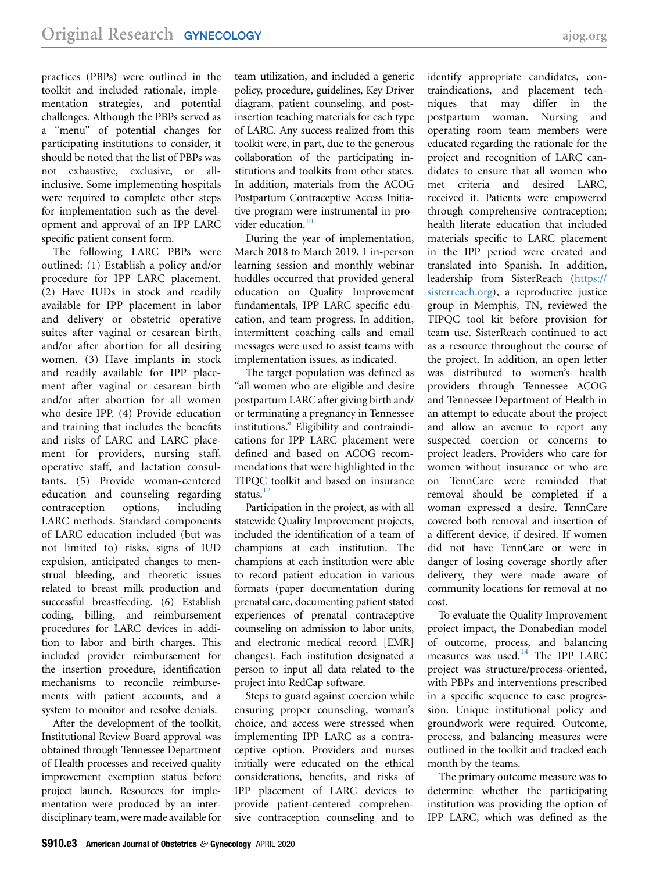practices (PBPs) were outlined in the toolkit and included rationale, implementation strategies, and potential challenges. Although the PBPs served as a "menu" of potential changes for participating institutions to consider, it should be noted that the list of PBPs was not exhaustive, exclusive, or allinclusive. Some implementing hospitals were required to complete other steps for implementation such as the development and approval of an IPP LARC specific patient consent form.

The following LARC PBPs were outlined: (1) Establish a policy and/or procedure for IPP LARC placement. (2) Have IUDs in stock and readily available for IPP placement in labor and delivery or obstetric operative suites after vaginal or cesarean birth, and/or after abortion for all desiring women. (3) Have implants in stock and readily available for IPP placement after vaginal or cesarean birth and/or after abortion for all women who desire IPP. (4) Provide education and training that includes the benefits and risks of LARC and LARC placement for providers, nursing staff, operative staff, and lactation consultants. (5) Provide woman-centered education and counseling regarding contraception options, including LARC methods. Standard components of LARC education included (but was not limited to) risks, signs of IUD expulsion, anticipated changes to menstrual bleeding, and theoretic issues related to breast milk production and successful breastfeeding. (6) Establish coding, billing, and reimbursement procedures for LARC devices in addition to labor and birth charges. This included provider reimbursement for the insertion procedure, identification mechanisms to reconcile reimbursements with patient accounts, and a system to monitor and resolve denials.

After the development of the toolkit, Institutional Review Board approval was obtained through Tennessee Department of Health processes and received quality improvement exemption status before project launch. Resources for implementation were produced by an interdisciplinary team, were made available for team utilization, and included a generic policy, procedure, guidelines, Key Driver diagram, patient counseling, and postinsertion teaching materials for each type of LARC. Any success realized from this toolkit were, in part, due to the generous collaboration of the participating institutions and toolkits from other states. In addition, materials from the ACOG Postpartum Contraceptive Access Initiative program were instrumental in provider education.<sup>10</sup>

During the year of implementation, March 2018 to March 2019, 1 in-person learning session and monthly webinar huddles occurred that provided general education on Quality Improvement fundamentals, IPP LARC specific education, and team progress. In addition, intermittent coaching calls and email messages were used to assist teams with implementation issues, as indicated.

The target population was defined as "all women who are eligible and desire postpartum LARC after giving birth and/ or terminating a pregnancy in Tennessee institutions." Eligibility and contraindications for IPP LARC placement were defined and based on ACOG recommendations that were highlighted in the TIPQC toolkit and based on insurance status. $12$ 

Participation in the project, as with all statewide Quality Improvement projects, included the identification of a team of champions at each institution. The champions at each institution were able to record patient education in various formats (paper documentation during prenatal care, documenting patient stated experiences of prenatal contraceptive counseling on admission to labor units, and electronic medical record [EMR] changes). Each institution designated a person to input all data related to the project into RedCap software.

Steps to guard against coercion while ensuring proper counseling, woman's choice, and access were stressed when implementing IPP LARC as a contraceptive option. Providers and nurses initially were educated on the ethical considerations, benefits, and risks of IPP placement of LARC devices to provide patient-centered comprehensive contraception counseling and to

identify appropriate candidates, contraindications, and placement techniques that may differ in the postpartum woman. Nursing and operating room team members were educated regarding the rationale for the project and recognition of LARC candidates to ensure that all women who met criteria and desired LARC, received it. Patients were empowered through comprehensive contraception; health literate education that included materials specific to LARC placement in the IPP period were created and translated into Spanish. In addition, leadership from SisterReach [\(https://](https://sisterreach.org/) [sisterreach.org](https://sisterreach.org/)), a reproductive justice group in Memphis, TN, reviewed the TIPQC tool kit before provision for team use. SisterReach continued to act as a resource throughout the course of the project. In addition, an open letter was distributed to women's health providers through Tennessee ACOG and Tennessee Department of Health in an attempt to educate about the project and allow an avenue to report any suspected coercion or concerns to project leaders. Providers who care for women without insurance or who are on TennCare were reminded that removal should be completed if a woman expressed a desire. TennCare covered both removal and insertion of a different device, if desired. If women did not have TennCare or were in danger of losing coverage shortly after delivery, they were made aware of community locations for removal at no cost.

To evaluate the Quality Improvement project impact, the Donabedian model of outcome, process, and balancing measures was used. $14$  The IPP LARC project was structure/process-oriented, with PBPs and interventions prescribed in a specific sequence to ease progression. Unique institutional policy and groundwork were required. Outcome, process, and balancing measures were outlined in the toolkit and tracked each month by the teams.

The primary outcome measure was to determine whether the participating institution was providing the option of IPP LARC, which was defined as the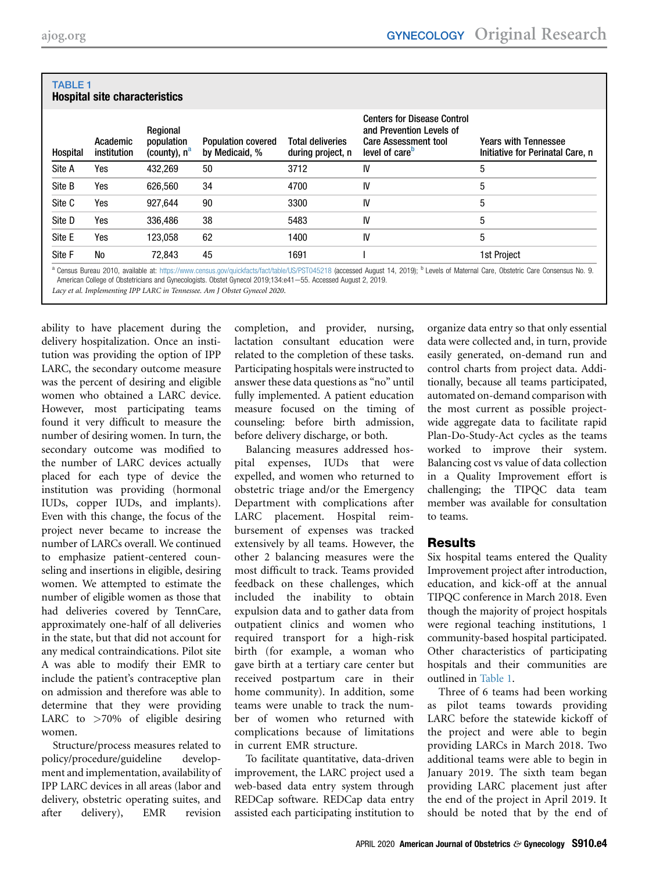| Hospital | Academic<br>institution | Regional<br>population<br>(county), n <sup>a</sup> | <b>Population covered</b><br>by Medicaid, % | <b>Total deliveries</b><br>during project, n | <b>Centers for Disease Control</b><br>and Prevention Levels of<br><b>Care Assessment tool</b><br>level of care <sup>p</sup> | <b>Years with Tennessee</b><br>Initiative for Perinatal Care, n |
|----------|-------------------------|----------------------------------------------------|---------------------------------------------|----------------------------------------------|-----------------------------------------------------------------------------------------------------------------------------|-----------------------------------------------------------------|
| Site A   | Yes                     | 432.269                                            | 50                                          | 3712                                         | IV                                                                                                                          | 5                                                               |
| Site B   | Yes                     | 626,560                                            | 34                                          | 4700                                         | IV                                                                                                                          | 5                                                               |
| Site C   | Yes                     | 927.644                                            | 90                                          | 3300                                         | IV                                                                                                                          | 5                                                               |
| Site D   | Yes                     | 336,486                                            | 38                                          | 5483                                         | IV                                                                                                                          | 5                                                               |
| Site E   | Yes                     | 123.058                                            | 62                                          | 1400                                         | IV                                                                                                                          | 5                                                               |
| Site F   | <b>No</b>               | 72.843                                             | 45                                          | 1691                                         |                                                                                                                             | 1st Project                                                     |

#### <span id="page-3-0"></span>TABLE 1 Hospital site characteristics

<span id="page-3-1"></span>American College of Obstetricians and Gynecologists. Obstet Gynecol 2019;134:e41-55. Accessed August 2, 2019.

Lacy et al. Implementing IPP LARC in Tennessee. Am J Obstet Gynecol 2020.

ability to have placement during the delivery hospitalization. Once an institution was providing the option of IPP LARC, the secondary outcome measure was the percent of desiring and eligible women who obtained a LARC device. However, most participating teams found it very difficult to measure the number of desiring women. In turn, the secondary outcome was modified to the number of LARC devices actually placed for each type of device the institution was providing (hormonal IUDs, copper IUDs, and implants). Even with this change, the focus of the project never became to increase the number of LARCs overall. We continued to emphasize patient-centered counseling and insertions in eligible, desiring women. We attempted to estimate the number of eligible women as those that had deliveries covered by TennCare, approximately one-half of all deliveries in the state, but that did not account for any medical contraindications. Pilot site A was able to modify their EMR to include the patient's contraceptive plan on admission and therefore was able to determine that they were providing LARC to >70% of eligible desiring women.

Structure/process measures related to policy/procedure/guideline development and implementation, availability of IPP LARC devices in all areas (labor and delivery, obstetric operating suites, and after delivery), EMR revision

completion, and provider, nursing, lactation consultant education were related to the completion of these tasks. Participating hospitals were instructed to answer these data questions as "no" until fully implemented. A patient education measure focused on the timing of counseling: before birth admission, before delivery discharge, or both.

Balancing measures addressed hospital expenses, IUDs that were expelled, and women who returned to obstetric triage and/or the Emergency Department with complications after LARC placement. Hospital reimbursement of expenses was tracked extensively by all teams. However, the other 2 balancing measures were the most difficult to track. Teams provided feedback on these challenges, which included the inability to obtain expulsion data and to gather data from outpatient clinics and women who required transport for a high-risk birth (for example, a woman who gave birth at a tertiary care center but received postpartum care in their home community). In addition, some teams were unable to track the number of women who returned with complications because of limitations in current EMR structure.

To facilitate quantitative, data-driven improvement, the LARC project used a web-based data entry system through REDCap software. REDCap data entry assisted each participating institution to

organize data entry so that only essential data were collected and, in turn, provide easily generated, on-demand run and control charts from project data. Additionally, because all teams participated, automated on-demand comparison with the most current as possible projectwide aggregate data to facilitate rapid Plan-Do-Study-Act cycles as the teams worked to improve their system. Balancing cost vs value of data collection in a Quality Improvement effort is challenging; the TIPQC data team member was available for consultation to teams.

# Results

Six hospital teams entered the Quality Improvement project after introduction, education, and kick-off at the annual TIPQC conference in March 2018. Even though the majority of project hospitals were regional teaching institutions, 1 community-based hospital participated. Other characteristics of participating hospitals and their communities are outlined in [Table 1.](#page-3-0)

Three of 6 teams had been working as pilot teams towards providing LARC before the statewide kickoff of the project and were able to begin providing LARCs in March 2018. Two additional teams were able to begin in January 2019. The sixth team began providing LARC placement just after the end of the project in April 2019. It should be noted that by the end of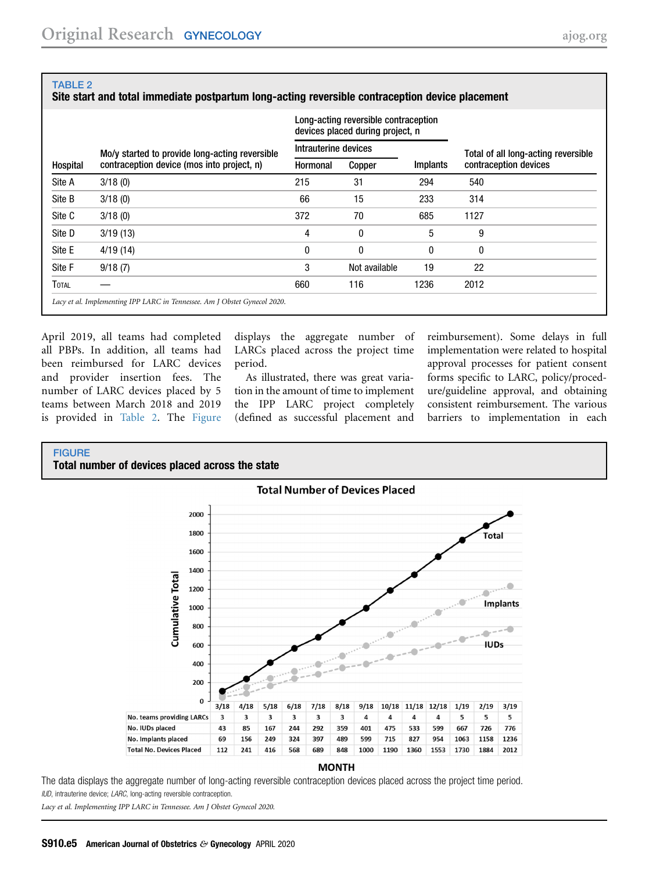#### <span id="page-4-0"></span>TABLE 2

### Site start and total immediate postpartum long-acting reversible contraception device placement

|              |                                                | Long-acting reversible contraception<br>devices placed during project, n |               |                 |                                     |  |
|--------------|------------------------------------------------|--------------------------------------------------------------------------|---------------|-----------------|-------------------------------------|--|
| Hospital     | Mo/y started to provide long-acting reversible | Intrauterine devices                                                     |               |                 | Total of all long-acting reversible |  |
|              | contraception device (mos into project, n)     | Hormonal                                                                 | Copper        | <b>Implants</b> | contraception devices               |  |
| Site A       | 3/18(0)                                        | 215                                                                      | 31            | 294             | 540                                 |  |
| Site B       | 3/18(0)                                        | 66                                                                       | 15            | 233             | 314                                 |  |
| Site C       | 3/18(0)                                        | 372                                                                      | 70            | 685             | 1127                                |  |
| Site D       | 3/19(13)                                       | 4                                                                        | 0             | 5               | 9                                   |  |
| Site E       | 4/19 (14)                                      | 0                                                                        | 0             | 0               | 0                                   |  |
| Site F       | 9/18(7)                                        | 3                                                                        | Not available | 19              | 22                                  |  |
| <b>TOTAL</b> |                                                | 660                                                                      | 116           | 1236            | 2012                                |  |

April 2019, all teams had completed all PBPs. In addition, all teams had been reimbursed for LARC devices and provider insertion fees. The number of LARC devices placed by 5 teams between March 2018 and 2019 is provided in [Table 2.](#page-4-0) The [Figure](#page-4-1)

displays the aggregate number of LARCs placed across the project time period.

As illustrated, there was great variation in the amount of time to implement the IPP LARC project completely (defined as successful placement and

reimbursement). Some delays in full implementation were related to hospital approval processes for patient consent forms specific to LARC, policy/procedure/guideline approval, and obtaining consistent reimbursement. The various barriers to implementation in each

#### <span id="page-4-1"></span>**FIGURE**

Total number of devices placed across the state



#### **MONTH**

The data displays the aggregate number of long-acting reversible contraception devices placed across the project time period. IUD, intrauterine device; LARC, long-acting reversible contraception.

Lacy et al. Implementing IPP LARC in Tennessee. Am J Obstet Gynecol 2020.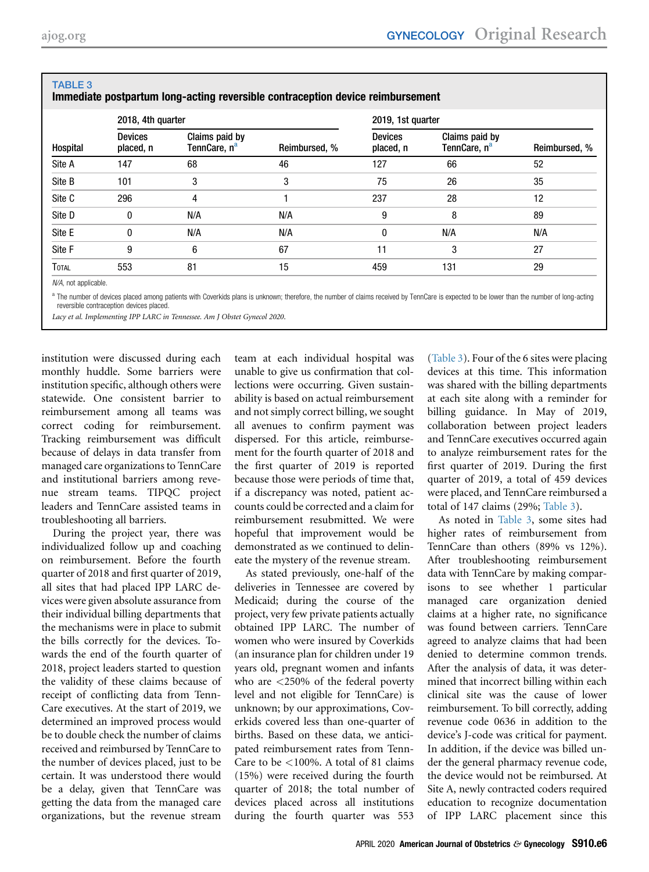| Hospital     | 2018, 4th quarter           |                                            |               | 2019, 1st quarter           |                                            |               |  |
|--------------|-----------------------------|--------------------------------------------|---------------|-----------------------------|--------------------------------------------|---------------|--|
|              | <b>Devices</b><br>placed, n | Claims paid by<br>TennCare, n <sup>a</sup> | Reimbursed, % | <b>Devices</b><br>placed, n | Claims paid by<br>TennCare, n <sup>a</sup> | Reimbursed, % |  |
| Site A       | 147                         | 68                                         | 46            | 127                         | 66                                         | 52            |  |
| Site B       | 101                         | 3                                          | 3             | 75                          | 26                                         | 35            |  |
| Site C       | 296                         | 4                                          |               | 237                         | 28                                         | 12            |  |
| Site D       | 0                           | N/A                                        | N/A           | 9                           | 8                                          | 89            |  |
| Site E       | 0                           | N/A                                        | N/A           | 0                           | N/A                                        | N/A           |  |
| Site F       | 9                           | 6                                          | 67            | 11                          | 3                                          | 27            |  |
| <b>TOTAL</b> | 553                         | 81                                         | 15            | 459                         | 131                                        | 29            |  |

#### <span id="page-5-0"></span>TABLE 3 Immediate postpartum long-acting reversible contraception device reimbursement

 $N/A$ , not applicable.

<span id="page-5-1"></span>a The number of devices placed among patients with Coverkids plans is unknown; therefore, the number of claims received by TennCare is expected to be lower than the number of long-acting reversible contraception devices placed.

Lacy et al. Implementing IPP LARC in Tennessee. Am J Obstet Gynecol 2020.

institution were discussed during each monthly huddle. Some barriers were institution specific, although others were statewide. One consistent barrier to reimbursement among all teams was correct coding for reimbursement. Tracking reimbursement was difficult because of delays in data transfer from managed care organizations to TennCare and institutional barriers among revenue stream teams. TIPQC project leaders and TennCare assisted teams in troubleshooting all barriers.

During the project year, there was individualized follow up and coaching on reimbursement. Before the fourth quarter of 2018 and first quarter of 2019, all sites that had placed IPP LARC devices were given absolute assurance from their individual billing departments that the mechanisms were in place to submit the bills correctly for the devices. Towards the end of the fourth quarter of 2018, project leaders started to question the validity of these claims because of receipt of conflicting data from Tenn-Care executives. At the start of 2019, we determined an improved process would be to double check the number of claims received and reimbursed by TennCare to the number of devices placed, just to be certain. It was understood there would be a delay, given that TennCare was getting the data from the managed care organizations, but the revenue stream

team at each individual hospital was unable to give us confirmation that collections were occurring. Given sustainability is based on actual reimbursement and not simply correct billing, we sought all avenues to confirm payment was dispersed. For this article, reimbursement for the fourth quarter of 2018 and the first quarter of 2019 is reported because those were periods of time that, if a discrepancy was noted, patient accounts could be corrected and a claim for reimbursement resubmitted. We were hopeful that improvement would be demonstrated as we continued to delineate the mystery of the revenue stream.

As stated previously, one-half of the deliveries in Tennessee are covered by Medicaid; during the course of the project, very few private patients actually obtained IPP LARC. The number of women who were insured by Coverkids (an insurance plan for children under 19 years old, pregnant women and infants who are <250% of the federal poverty level and not eligible for TennCare) is unknown; by our approximations, Coverkids covered less than one-quarter of births. Based on these data, we anticipated reimbursement rates from Tenn-Care to be <100%. A total of 81 claims (15%) were received during the fourth quarter of 2018; the total number of devices placed across all institutions during the fourth quarter was 553

[\(Table 3](#page-5-0)). Four of the 6 sites were placing devices at this time. This information was shared with the billing departments at each site along with a reminder for billing guidance. In May of 2019, collaboration between project leaders and TennCare executives occurred again to analyze reimbursement rates for the first quarter of 2019. During the first quarter of 2019, a total of 459 devices were placed, and TennCare reimbursed a total of 147 claims (29%; [Table 3](#page-5-0)).

As noted in [Table 3](#page-5-0), some sites had higher rates of reimbursement from TennCare than others (89% vs 12%). After troubleshooting reimbursement data with TennCare by making comparisons to see whether 1 particular managed care organization denied claims at a higher rate, no significance was found between carriers. TennCare agreed to analyze claims that had been denied to determine common trends. After the analysis of data, it was determined that incorrect billing within each clinical site was the cause of lower reimbursement. To bill correctly, adding revenue code 0636 in addition to the device's J-code was critical for payment. In addition, if the device was billed under the general pharmacy revenue code, the device would not be reimbursed. At Site A, newly contracted coders required education to recognize documentation of IPP LARC placement since this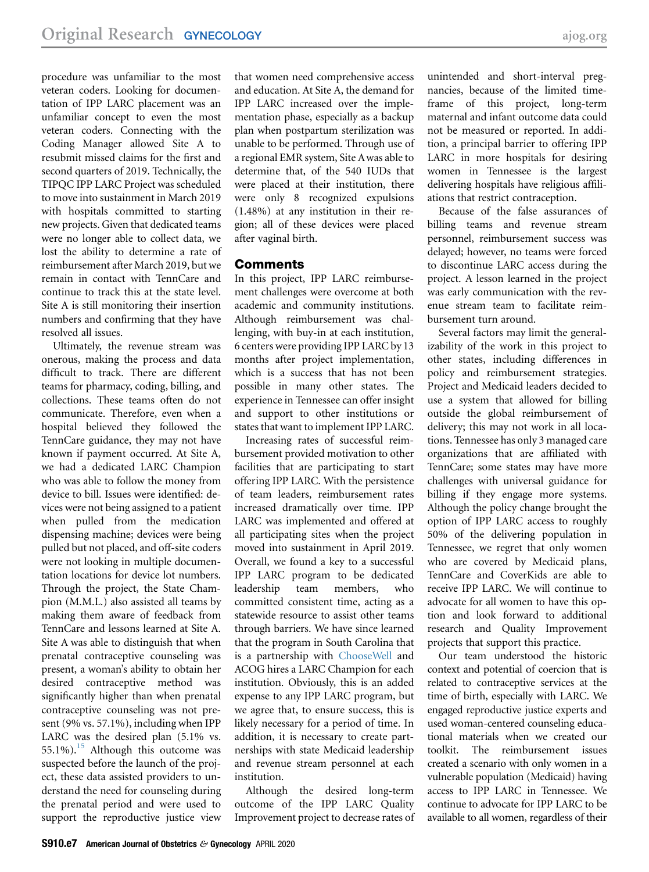procedure was unfamiliar to the most veteran coders. Looking for documentation of IPP LARC placement was an unfamiliar concept to even the most veteran coders. Connecting with the Coding Manager allowed Site A to resubmit missed claims for the first and second quarters of 2019. Technically, the TIPQC IPP LARC Project was scheduled to move into sustainment in March 2019 with hospitals committed to starting new projects. Given that dedicated teams were no longer able to collect data, we lost the ability to determine a rate of reimbursement after March 2019, but we remain in contact with TennCare and continue to track this at the state level. Site A is still monitoring their insertion numbers and confirming that they have resolved all issues.

Ultimately, the revenue stream was onerous, making the process and data difficult to track. There are different teams for pharmacy, coding, billing, and collections. These teams often do not communicate. Therefore, even when a hospital believed they followed the TennCare guidance, they may not have known if payment occurred. At Site A, we had a dedicated LARC Champion who was able to follow the money from device to bill. Issues were identified: devices were not being assigned to a patient when pulled from the medication dispensing machine; devices were being pulled but not placed, and off-site coders were not looking in multiple documentation locations for device lot numbers. Through the project, the State Champion (M.M.L.) also assisted all teams by making them aware of feedback from TennCare and lessons learned at Site A. Site A was able to distinguish that when prenatal contraceptive counseling was present, a woman's ability to obtain her desired contraceptive method was significantly higher than when prenatal contraceptive counseling was not present (9% vs. 57.1%), including when IPP LARC was the desired plan (5.1% vs. 55.1%).<sup>[15](#page-7-11)</sup> Although this outcome was suspected before the launch of the project, these data assisted providers to understand the need for counseling during the prenatal period and were used to support the reproductive justice view

that women need comprehensive access and education. At Site A, the demand for IPP LARC increased over the implementation phase, especially as a backup plan when postpartum sterilization was unable to be performed. Through use of a regional EMR system, Site Awas able to determine that, of the 540 IUDs that were placed at their institution, there were only 8 recognized expulsions (1.48%) at any institution in their region; all of these devices were placed after vaginal birth.

## **Comments**

In this project, IPP LARC reimbursement challenges were overcome at both academic and community institutions. Although reimbursement was challenging, with buy-in at each institution, 6 centers were providing IPP LARC by 13 months after project implementation, which is a success that has not been possible in many other states. The experience in Tennessee can offer insight and support to other institutions or states that want to implement IPP LARC.

Increasing rates of successful reimbursement provided motivation to other facilities that are participating to start offering IPP LARC. With the persistence of team leaders, reimbursement rates increased dramatically over time. IPP LARC was implemented and offered at all participating sites when the project moved into sustainment in April 2019. Overall, we found a key to a successful IPP LARC program to be dedicated leadership team members, who committed consistent time, acting as a statewide resource to assist other teams through barriers. We have since learned that the program in South Carolina that is a partnership with [ChooseWell](https://www.choosewellsc.org/) and ACOG hires a LARC Champion for each institution. Obviously, this is an added expense to any IPP LARC program, but we agree that, to ensure success, this is likely necessary for a period of time. In addition, it is necessary to create partnerships with state Medicaid leadership and revenue stream personnel at each institution.

Although the desired long-term outcome of the IPP LARC Quality Improvement project to decrease rates of

unintended and short-interval pregnancies, because of the limited timeframe of this project, long-term maternal and infant outcome data could not be measured or reported. In addition, a principal barrier to offering IPP LARC in more hospitals for desiring women in Tennessee is the largest delivering hospitals have religious affiliations that restrict contraception.

Because of the false assurances of billing teams and revenue stream personnel, reimbursement success was delayed; however, no teams were forced to discontinue LARC access during the project. A lesson learned in the project was early communication with the revenue stream team to facilitate reimbursement turn around.

Several factors may limit the generalizability of the work in this project to other states, including differences in policy and reimbursement strategies. Project and Medicaid leaders decided to use a system that allowed for billing outside the global reimbursement of delivery; this may not work in all locations. Tennessee has only 3 managed care organizations that are affiliated with TennCare; some states may have more challenges with universal guidance for billing if they engage more systems. Although the policy change brought the option of IPP LARC access to roughly 50% of the delivering population in Tennessee, we regret that only women who are covered by Medicaid plans, TennCare and CoverKids are able to receive IPP LARC. We will continue to advocate for all women to have this option and look forward to additional research and Quality Improvement projects that support this practice.

Our team understood the historic context and potential of coercion that is related to contraceptive services at the time of birth, especially with LARC. We engaged reproductive justice experts and used woman-centered counseling educational materials when we created our toolkit. The reimbursement issues created a scenario with only women in a vulnerable population (Medicaid) having access to IPP LARC in Tennessee. We continue to advocate for IPP LARC to be available to all women, regardless of their